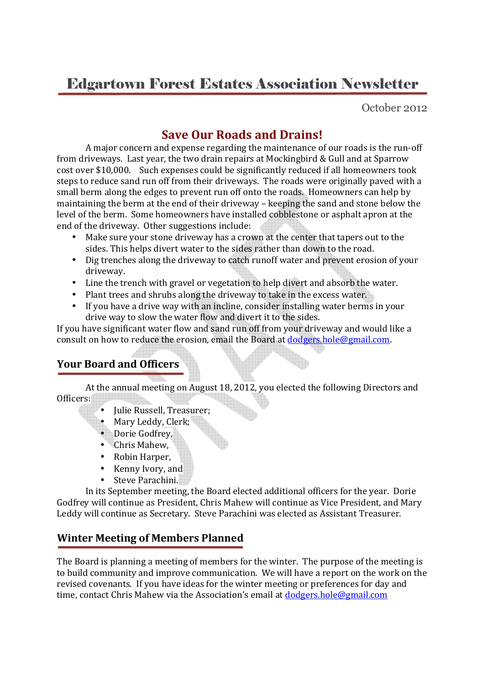# Edgartown Forest Estates Association Newsletter

October 2012

## **Save Our Roads and Drains!**

A major concern and expense regarding the maintenance of our roads is the run-off from driveways. Last year, the two drain repairs at Mockingbird & Gull and at Sparrow cost over \$10,000. Such expenses could be significantly reduced if all homeowners took steps to reduce sand run off from their driveways. The roads were originally paved with a small berm along the edges to prevent run off onto the roads. Homeowners can help by maintaining the berm at the end of their driveway – keeping the sand and stone below the level of the berm. Some homeowners have installed cobblestone or asphalt apron at the end of the driveway. Other suggestions include:

- Make sure your stone driveway has a crown at the center that tapers out to the sides. This helps divert water to the sides rather than down to the road.
- Dig trenches along the driveway to catch runoff water and prevent erosion of your driveway.
- Line the trench with gravel or vegetation to help divert and absorb the water.
- Plant trees and shrubs along the driveway to take in the excess water.
- If you have a drive way with an incline, consider installing water berms in your drive way to slow the water flow and divert it to the sides.

If you have significant water flow and sand run off from your driveway and would like a consult on how to reduce the erosion, email the Board at dodgers.hole@gmail.com.

## **Your Board and Officers**

At the annual meeting on August 18, 2012, you elected the following Directors and Officers:

- Julie Russell, Treasurer;
- Mary Leddy, Clerk;
- Dorie Godfrey,
- Chris Mahew,
- Robin Harper,
- Kenny Ivory, and
- Steve Parachini.

In its September meeting, the Board elected additional officers for the year. Dorie Godfrey will continue as President, Chris Mahew will continue as Vice President, and Mary Leddy will continue as Secretary. Steve Parachini was elected as Assistant Treasurer.

#### **Winter Meeting of Members Planned**

The Board is planning a meeting of members for the winter. The purpose of the meeting is to build community and improve communication. We will have a report on the work on the revised covenants. If you have ideas for the winter meeting or preferences for day and time, contact Chris Mahew via the Association's email at dodgers.hole@gmail.com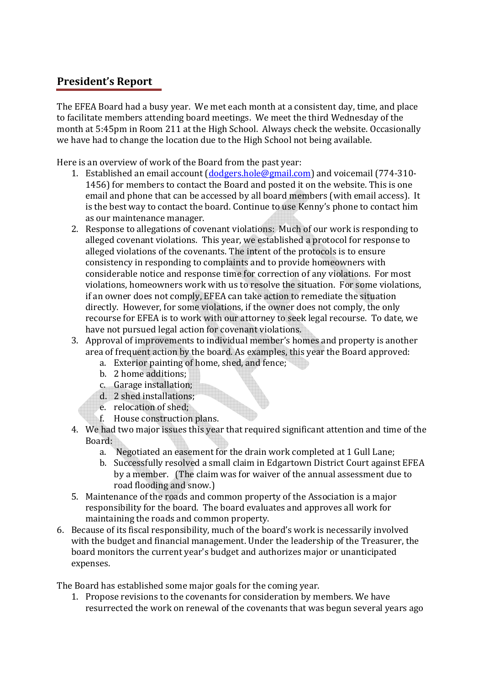### **President's Report**

The EFEA Board had a busy year. We met each month at a consistent day, time, and place to facilitate members attending board meetings. We meet the third Wednesday of the month at 5:45pm in Room 211 at the High School. Always check the website. Occasionally we have had to change the location due to the High School not being available.

Here is an overview of work of the Board from the past year:

- 1. Established an email account (dodgers.hole@gmail.com) and voicemail (774-310- 1456) for members to contact the Board and posted it on the website. This is one email and phone that can be accessed by all board members (with email access). It is the best way to contact the board. Continue to use Kenny's phone to contact him as our maintenance manager.
- 2. Response to allegations of covenant violations: Much of our work is responding to alleged covenant violations. This year, we established a protocol for response to alleged violations of the covenants. The intent of the protocols is to ensure consistency in responding to complaints and to provide homeowners with considerable notice and response time for correction of any violations. For most violations, homeowners work with us to resolve the situation. For some violations, if an owner does not comply, EFEA can take action to remediate the situation directly. However, for some violations, if the owner does not comply, the only recourse for EFEA is to work with our attorney to seek legal recourse. To date, we have not pursued legal action for covenant violations.
- 3. Approval of improvements to individual member's homes and property is another area of frequent action by the board. As examples, this year the Board approved:
	- a. Exterior painting of home, shed, and fence;
	- b. 2 home additions;
	- c. Garage installation;
	- d. 2 shed installations;
	- e. relocation of shed;
	- f. House construction plans.
- 4. We had two major issues this year that required significant attention and time of the Board:
	- a. Negotiated an easement for the drain work completed at 1 Gull Lane;
	- b. Successfully resolved a small claim in Edgartown District Court against EFEA by a member. (The claim was for waiver of the annual assessment due to road flooding and snow.)
- 5. Maintenance of the roads and common property of the Association is a major responsibility for the board. The board evaluates and approves all work for maintaining the roads and common property.
- 6. Because of its fiscal responsibility, much of the board's work is necessarily involved with the budget and financial management. Under the leadership of the Treasurer, the board monitors the current year's budget and authorizes major or unanticipated expenses.

The Board has established some major goals for the coming year.

1. Propose revisions to the covenants for consideration by members. We have resurrected the work on renewal of the covenants that was begun several years ago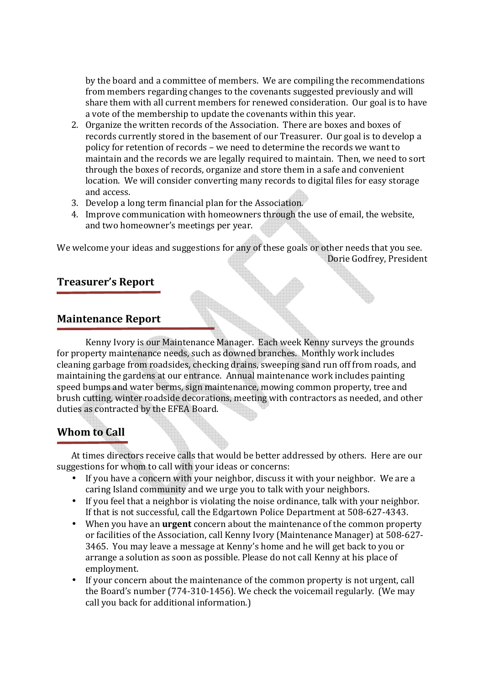by the board and a committee of members. We are compiling the recommendations from members regarding changes to the covenants suggested previously and will share them with all current members for renewed consideration. Our goal is to have a vote of the membership to update the covenants within this year.

- 2. Organize the written records of the Association. There are boxes and boxes of records currently stored in the basement of our Treasurer. Our goal is to develop a policy for retention of records – we need to determine the records we want to maintain and the records we are legally required to maintain. Then, we need to sort through the boxes of records, organize and store them in a safe and convenient location. We will consider converting many records to digital files for easy storage and access.
- 3. Develop a long term financial plan for the Association.
- 4. Improve communication with homeowners through the use of email, the website, and two homeowner's meetings per year.

We welcome your ideas and suggestions for any of these goals or other needs that you see. Dorie Godfrey, President

#### **Treasurer's Report**

#### **Maintenance Report**

Kenny Ivory is our Maintenance Manager. Each week Kenny surveys the grounds for property maintenance needs, such as downed branches. Monthly work includes cleaning garbage from roadsides, checking drains, sweeping sand run off from roads, and maintaining the gardens at our entrance. Annual maintenance work includes painting speed bumps and water berms, sign maintenance, mowing common property, tree and brush cutting, winter roadside decorations, meeting with contractors as needed, and other duties as contracted by the EFEA Board.

#### **Whom to Call**

At times directors receive calls that would be better addressed by others. Here are our suggestions for whom to call with your ideas or concerns:

- If you have a concern with your neighbor, discuss it with your neighbor. We are a caring Island community and we urge you to talk with your neighbors.
- If you feel that a neighbor is violating the noise ordinance, talk with your neighbor. If that is not successful, call the Edgartown Police Department at 508-627-4343.
- When you have an **urgent** concern about the maintenance of the common property or facilities of the Association, call Kenny Ivory (Maintenance Manager) at 508-627- 3465. You may leave a message at Kenny's home and he will get back to you or arrange a solution as soon as possible. Please do not call Kenny at his place of employment.
- If your concern about the maintenance of the common property is not urgent, call the Board's number (774-310-1456). We check the voicemail regularly. (We may call you back for additional information.)